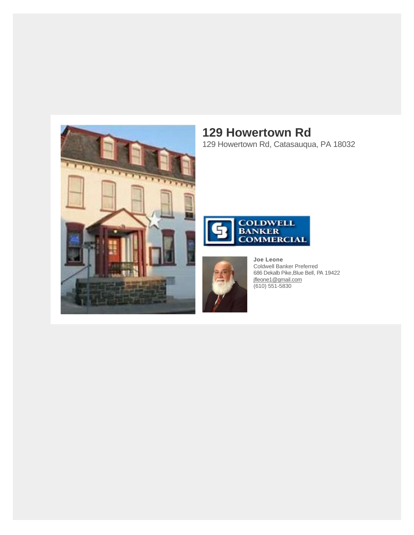

## **129 Howertown Rd**

129 Howertown Rd, Catasauqua, PA 18032





**Joe Leone** Coldwell Banker Preferred 686 Dekalb Pike,Blue Bell, PA 19422 [jfleone1@gmail.com](https://mail.google.com/mail/?view=cm&fs=1&tf=1&to=jfleone1@gmail.com) (610) 551-5830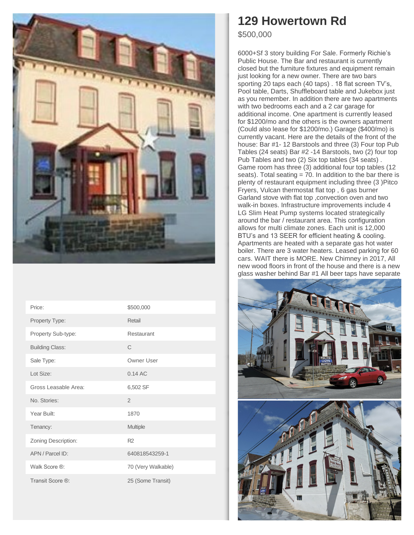

| Price:                 | \$500,000          |
|------------------------|--------------------|
| Property Type:         | Retail             |
| Property Sub-type:     | Restaurant         |
| <b>Building Class:</b> | $\mathcal{C}$      |
| Sale Type:             | Owner User         |
| Lot Size:              | $0.14$ AC          |
| Gross Leasable Area:   | 6,502 SF           |
| No. Stories:           | $\overline{2}$     |
| Year Built:            | 1870               |
| Tenancy:               | Multiple           |
| Zoning Description:    | R <sub>2</sub>     |
| APN / Parcel ID:       | 640818543259-1     |
| Walk Score ®:          | 70 (Very Walkable) |
| Transit Score ®:       | 25 (Some Transit)  |

## **129 Howertown Rd**

\$500,000

6000+Sf 3 story building For Sale. Formerly Richie's Public House. The Bar and restaurant is currently closed but the furniture fixtures and equipment remain just looking for a new owner. There are two bars sporting 20 taps each (40 taps) . 18 flat screen TV's, Pool table, Darts, Shuffleboard table and Jukebox just as you remember. In addition there are two apartments with two bedrooms each and a 2 car garage for additional income. One apartment is currently leased for \$1200/mo and the others is the owners apartment (Could also lease for \$1200/mo.) Garage (\$400/mo) is currently vacant. Here are the details of the front of the house: Bar #1- 12 Barstools and three (3) Four top Pub Tables (24 seats) Bar #2 -14 Barstools, two (2) four top Pub Tables and two (2) Six top tables (34 seats) . Game room has three (3) additional four top tables (12 seats). Total seating = 70. In addition to the bar there is plenty of restaurant equipment including three (3 )Pitco Fryers, Vulcan thermostat flat top , 6 gas burner Garland stove with flat top ,convection oven and two walk-in boxes. Infrastructure improvements include 4 LG Slim Heat Pump systems located strategically around the bar / restaurant area. This configuration allows for multi climate zones. Each unit is 12,000 BTU's and 13 SEER for efficient heating & cooling. Apartments are heated with a separate gas hot water boiler. There are 3 water heaters. Leased parking for 60 cars. WAIT there is MORE. New Chimney in 2017, All new wood floors in front of the house and there is a new glass washer behind Bar #1 All beer taps have separate

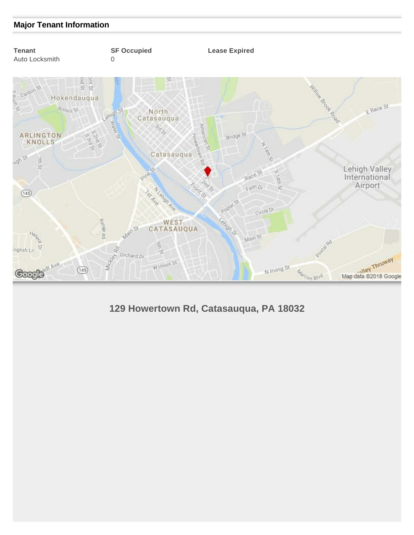## **Major Tenant Information**



**129 Howertown Rd, Catasauqua, PA 18032**